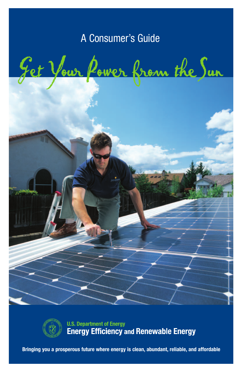# A Consumer's Guide

Get Your Power from the Sun



**U.S. Department of Energy Energy Efficiency and Renewable Energy** 

**Bringing you a prosperous future where energy is clean, abundant, reliable, and affordable**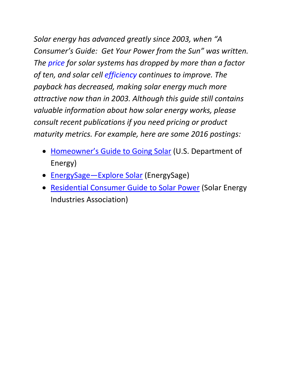*Solar energy has advanced greatly since 2003, when "A Consumer's Guide: Get Your Power from the Sun" was written. The [price](http://www.nrel.gov/docs/fy16osti/66532.pdf) for solar systems has dropped by more than a factor of ten, and solar cell [efficiency](http://www.nrel.gov/pv/assets/images/efficiency-chart.png) continues to improve. The payback has decreased, making solar energy much more attractive now than in 2003. Although this guide still contains valuable information about how solar energy works, please consult recent publications if you need pricing or product maturity metrics. For example, here are some 2016 postings:*

- [Homeowner's Guide to Going Solar](https://energy.gov/eere/sunshot/homeowner-s-guide-going-solar) (U.S. Department of Energy)
- **[EnergySage—Explore Solar](http://www.energysage.com/solar/)** (EnergySage)
- [Residential Consumer Guide to Solar Power](http://www.seia.org/sites/default/files/resources/SEIA%20Consumer%20Guide%20to%20Solar%20Power%20-%20v2%20-%20Jan%202016.pdf) (Solar Energy Industries Association)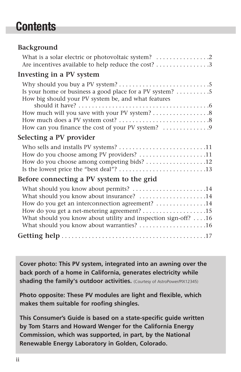# **Contents**

# **Background**

| What is a solar electric or photovoltaic system?<br>Are incentives available to help reduce the cost? 3                                                                                                                                              |
|------------------------------------------------------------------------------------------------------------------------------------------------------------------------------------------------------------------------------------------------------|
| Investing in a PV system                                                                                                                                                                                                                             |
| Is your home or business a good place for a PV system? 5<br>How big should your PV system be, and what features<br>How can you finance the cost of your PV system? 9                                                                                 |
| Selecting a PV provider                                                                                                                                                                                                                              |
| How do you choose among PV providers? 11<br>How do you choose among competing bids? 12                                                                                                                                                               |
| Before connecting a PV system to the grid                                                                                                                                                                                                            |
| What should you know about permits? 14<br>What should you know about insurance? 14<br>How do you get an interconnection agreement? 14<br>What should you know about utility and inspection sign-off? 16<br>What should you know about warranties? 16 |
|                                                                                                                                                                                                                                                      |
|                                                                                                                                                                                                                                                      |

**Cover photo: This PV system, integrated into an awning over the back porch of a home in California, generates electricity while shading the family's outdoor activities.** (Courtesy of AstroPower/PIX12345)

**Photo opposite: These PV modules are light and flexible, which makes them suitable for roofing shingles.**

**This Consumer's Guide is based on a state-specific guide written by Tom Starrs and Howard Wenger for the California Energy Commission, which was supported, in part, by the National Renewable Energy Laboratory in Golden, Colorado.**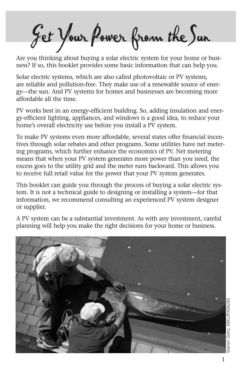Get YourPower from theSun

Are you thinking about buying a solar electric system for your home or business? If so, this booklet provides some basic information that can help you.

Solar electric systems, which are also called photovoltaic or PV systems, are reliable and pollution-free. They make use of a renewable source of energy—the sun. And PV systems for homes and businesses are becoming more affordable all the time.

PV works best in an energy-efficient building. So, adding insulation and energy-efficient lighting, appliances, and windows is a good idea, to reduce your home's overall electricity use before you install a PV system.

To make PV systems even more affordable, several states offer financial incentives through solar rebates and other programs. Some utilities have net metering programs, which further enhance the economics of PV. Net metering means that when your PV system generates more power than you need, the excess goes to the utility grid and the meter runs backward. This allows you to receive full retail value for the power that your PV system generates.

This booklet can guide you through the process of buying a solar electric system. It is not a technical guide to designing or installing a system—for that information, we recommend consulting an experienced PV system designer or supplier.

A PV system can be a substantial investment. As with any investment, careful planning will help you make the right decisions for your home or business.

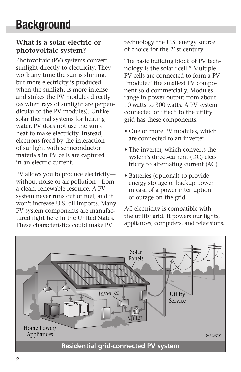# **What is a solar electric or photovoltaic system?**

Photovoltaic (PV) systems convert sunlight directly to electricity. They work any time the sun is shining, but more electricity is produced when the sunlight is more intense and strikes the PV modules directly (as when rays of sunlight are perpendicular to the PV modules). Unlike solar thermal systems for heating water, PV does not use the sun's heat to make electricity. Instead, electrons freed by the interaction of sunlight with semiconductor materials in PV cells are captured in an electric current.

PV allows you to produce electricity without noise or air pollution—from a clean, renewable resource. A PV system never runs out of fuel, and it won't increase U.S. oil imports. Many PV system components are manufactured right here in the United States. These characteristics could make PV

technology the U.S. energy source of choice for the 21st century.

The basic building block of PV technology is the solar "cell." Multiple PV cells are connected to form a PV "module," the smallest PV component sold commercially. Modules range in power output from about 10 watts to 300 watts. A PV system connected or "tied" to the utility grid has these components:

- One or more PV modules, which are connected to an inverter
- The inverter, which converts the system's direct-current (DC) electricity to alternating current (AC)
- Batteries (optional) to provide energy storage or backup power in case of a power interruption or outage on the grid.

AC electricity is compatible with the utility grid. It powers our lights, appliances, computers, and televisions.

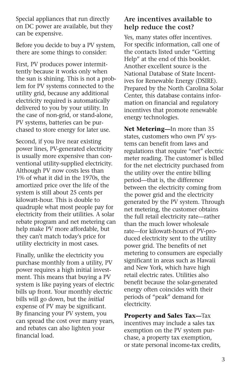Special appliances that run directly on DC power are available, but they can be expensive.

Before you decide to buy a PV system, there are some things to consider:

First, PV produces power intermittently because it works only when the sun is shining. This is not a problem for PV systems connected to the utility grid, because any additional electricity required is automatically delivered to you by your utility. In the case of non-grid, or stand-alone, PV systems, batteries can be purchased to store energy for later use.

Second, if you live near existing power lines, PV-generated electricity is usually more expensive than conventional utility-supplied electricity. Although PV now costs less than 1% of what it did in the 1970s, the amortized price over the life of the system is still about 25 cents per kilowatt-hour. This is double to quadruple what most people pay for electricity from their utilities. A solar rebate program and net metering can help make PV more affordable, but they can't match today's price for utility electricity in most cases.

Finally, unlike the electricity you purchase monthly from a utility, PV power requires a high initial investment. This means that buying a PV system is like paying years of electric bills up front. Your monthly electric bills will go down, but the *initial* expense of PV may be significant. By financing your PV system, you can spread the cost over many years, and rebates can also lighten your financial load.

# **Are incentives available to help reduce the cost?**

Yes, many states offer incentives. For specific information, call one of the contacts listed under "Getting Help" at the end of this booklet. Another excellent source is the National Database of State Incentives for Renewable Energy (DSIRE). Prepared by the North Carolina Solar Center, this database contains information on financial and regulatory incentives that promote renewable energy technologies.

**Net Metering—**In more than 35 states, customers who own PV systems can benefit from laws and regulations that require "net" electric meter reading. The customer is billed for the net electricity purchased from the utility over the entire billing period—that is, the difference between the electricity coming from the power grid and the electricity generated by the PV system. Through net metering, the customer obtains the full retail electricity rate—rather than the much lower wholesale rate—for kilowatt-hours of PV-produced electricity sent to the utility power grid. The benefits of net metering to consumers are especially significant in areas such as Hawaii and New York, which have high retail electric rates. Utilities also benefit because the solar-generated energy often coincides with their periods of "peak" demand for electricity.

**Property and Sales Tax—**Tax incentives may include a sales tax exemption on the PV system purchase, a property tax exemption, or state personal income-tax credits,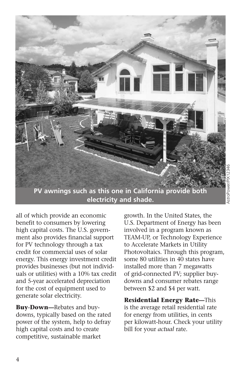

all of which provide an economic benefit to consumers by lowering high capital costs. The U.S. government also provides financial support for PV technology through a tax credit for commercial uses of solar energy. This energy investment credit provides businesses (but not individuals or utilities) with a 10% tax credit and 5-year accelerated depreciation for the cost of equipment used to generate solar electricity.

**Buy-Down—**Rebates and buydowns, typically based on the rated power of the system, help to defray high capital costs and to create competitive, sustainable market

growth. In the United States, the U.S. Department of Energy has been involved in a program known as TEAM-UP, or Technology Experience to Accelerate Markets in Utility Photovoltaics. Through this program, some 80 utilities in 40 states have installed more than 7 megawatts of grid-connected PV; supplier buydowns and consumer rebates range between \$2 and \$4 per watt.

**Residential Energy Rate—**This is the average retail residential rate for energy from utilities, in cents per kilowatt-hour. Check your utility bill for your *actual* rate.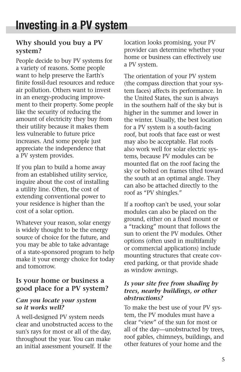# **Why should you buy a PV system?**

People decide to buy PV systems for a variety of reasons. Some people want to help preserve the Earth's finite fossil-fuel resources and reduce air pollution. Others want to invest in an energy-producing improvement to their property. Some people like the security of reducing the amount of electricity they buy from their utility because it makes them less vulnerable to future price increases. And some people just appreciate the independence that a PV system provides.

If you plan to build a home away from an established utility service, inquire about the cost of installing a utility line. Often, the cost of extending conventional power to your residence is higher than the cost of a solar option.

Whatever your reason, solar energy is widely thought to be the energy source of choice for the future, and you may be able to take advantage of a state-sponsored program to help make it your energy choice for today and tomorrow.

# **Is your home or business a good place for a PV system?**

#### *Can you locate your system so it works well?*

A well-designed PV system needs clear and unobstructed access to the sun's rays for most or all of the day, throughout the year. You can make an initial assessment yourself. If the

location looks promising, your PV provider can determine whether your home or business can effectively use a PV system.

The orientation of your PV system (the compass direction that your system faces) affects its performance. In the United States, the sun is always in the southern half of the sky but is higher in the summer and lower in the winter. Usually, the best location for a PV system is a south-facing roof, but roofs that face east or west may also be acceptable. Flat roofs also work well for solar electric systems, because PV modules can be mounted flat on the roof facing the sky or bolted on frames tilted toward the south at an optimal angle. They can also be attached directly to the roof as "PV shingles."

If a rooftop can't be used, your solar modules can also be placed on the ground, either on a fixed mount or a "tracking" mount that follows the sun to orient the PV modules. Other options (often used in multifamily or commercial applications) include mounting structures that create covered parking, or that provide shade as window awnings.

#### *Is your site free from shading by trees, nearby buildings, or other obstructions?*

To make the best use of your PV system, the PV modules must have a clear "view" of the sun for most or all of the day—unobstructed by trees, roof gables, chimneys, buildings, and other features of your home and the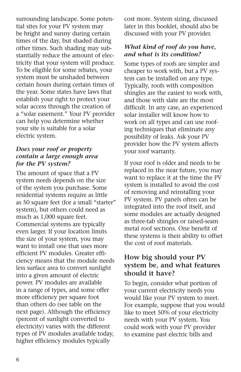surrounding landscape. Some potential sites for your PV system may be bright and sunny during certain times of the day, but shaded during other times. Such shading may substantially reduce the amount of electricity that your system will produce. To be eligible for some rebates, your system must be unshaded between certain hours during certain times of the year. Some states have laws that establish your right to protect your solar access through the creation of a "solar easement." Your PV provider can help you determine whether your site is suitable for a solar electric system.

#### *Does your roof or property contain a large enough area for the PV system?*

The amount of space that a PV system needs depends on the size of the system you purchase. Some residential systems require as little as 50 square feet (for a small "starter" system), but others could need as much as 1,000 square feet. Commercial systems are typically even larger. If your location limits the size of your system, you may want to install one that uses more efficient PV modules. Greater efficiency means that the module needs less surface area to convert sunlight into a given amount of electric power. PV modules are available in a range of types, and some offer more efficiency per square foot than others do (see table on the next page). Although the efficiency (percent of sunlight converted to electricity) varies with the different types of PV modules available today, higher efficiency modules typically

cost more. System sizing, discussed later in this booklet, should also be discussed with your PV provider.

#### *What kind of roof do you have, and what is its condition?*

Some types of roofs are simpler and cheaper to work with, but a PV system can be installed on any type. Typically, roofs with composition shingles are the easiest to work with, and those with slate are the most difficult. In any case, an experienced solar installer will know how to work on all types and can use roofing techniques that eliminate any possibility of leaks. Ask your PV provider how the PV system affects your roof warranty.

If your roof is older and needs to be replaced in the near future, you may want to replace it at the time the PV system is installed to avoid the cost of removing and reinstalling your PV system. PV panels often can be integrated into the roof itself, and some modules are actually designed as three-tab shingles or raised-seam metal roof sections. One benefit of these systems is their ability to offset the cost of roof materials.

# **How big should your PV system be, and what features should it have?**

To begin, consider what portion of your current electricity needs you would like your PV system to meet. For example, suppose that you would like to meet 50% of your electricity needs with your PV system. You could work with your PV provider to examine past electric bills and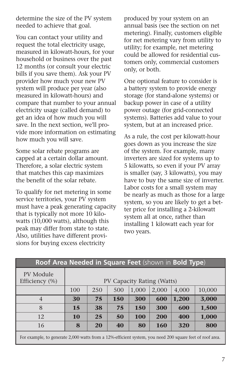determine the size of the PV system needed to achieve that goal.

You can contact your utility and request the total electricity usage, measured in kilowatt-hours, for your household or business over the past 12 months (or consult your electric bills if you save them). Ask your PV provider how much your new PV system will produce per year (also measured in kilowatt-hours) and compare that number to your annual electricity usage (called demand) to get an idea of how much you will save. In the next section, we'll provide more information on estimating how much you will save.

Some solar rebate programs are capped at a certain dollar amount. Therefore, a solar electric system that matches this cap maximizes the benefit of the solar rebate.

To qualify for net metering in some service territories, your PV system must have a peak generating capacity that is typically not more 10 kilowatts (10,000 watts), although this peak may differ from state to state. Also, utilities have different provisions for buying excess electricity

produced by your system on an annual basis (see the section on net metering). Finally, customers eligible for net metering vary from utility to utility; for example, net metering could be allowed for residential customers only, commercial customers only, or both.

One optional feature to consider is a battery system to provide energy storage (for stand-alone systems) or backup power in case of a utility power outage (for grid-connected systems). Batteries add value to your system, but at an increased price.

As a rule, the cost per kilowatt-hour goes down as you increase the size of the system. For example, many inverters are sized for systems up to 5 kilowatts, so even if your PV array is smaller (say, 3 kilowatts), you may have to buy the same size of inverter. Labor costs for a small system may be nearly as much as those for a large system, so you are likely to get a better price for installing a 2-kilowatt system all at once, rather than installing 1 kilowatt each year for two years.

| Roof Area Needed in Square Feet (shown in Bold Type)                                                     |                            |     |            |            |            |       |        |  |
|----------------------------------------------------------------------------------------------------------|----------------------------|-----|------------|------------|------------|-------|--------|--|
| PV Module<br>Efficiency (%)                                                                              | PV Capacity Rating (Watts) |     |            |            |            |       |        |  |
|                                                                                                          | 100                        | 250 | 500        | 1,000      | 2,000      | 4,000 | 10,000 |  |
| $\overline{4}$                                                                                           | 30                         | 75  | <b>150</b> | 300        | 600        | 1,200 | 3,000  |  |
| 8                                                                                                        | 15                         | 38  | 75         | <b>150</b> | 300        | 600   | 1,500  |  |
| 12                                                                                                       | 10                         | 25  | 50         | <b>100</b> | 200        | 400   | 1,000  |  |
| 16                                                                                                       | 8                          | 20  | 40         | 80         | <b>160</b> | 320   | 800    |  |
| For example, to generate 2,000 watts from a 12%-efficient system, you need 200 square feet of roof area. |                            |     |            |            |            |       |        |  |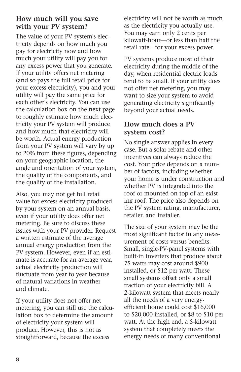# **How much will you save with your PV system?**

The value of your PV system's electricity depends on how much you pay for electricity now and how much your utility will pay you for any excess power that you generate. If your utility offers net metering (and so pays the full retail price for your excess electricity), you and your utility will pay the same price for each other's electricity. You can use the calculation box on the next page to roughly estimate how much electricity your PV system will produce and how much that electricity will be worth. Actual energy production from your PV system will vary by up to 20% from these figures, depending on your geographic location, the angle and orientation of your system, the quality of the components, and the quality of the installation.

Also, you may not get full retail value for excess electricity produced by your system on an annual basis, even if your utility does offer net metering. Be sure to discuss these issues with your PV provider. Request a written estimate of the average annual energy production from the PV system. However, even if an estimate is accurate for an average year, actual electricity production will fluctuate from year to year because of natural variations in weather and climate.

If your utility does not offer net metering, you can still use the calculation box to determine the amount of electricity your system will produce. However, this is not as straightforward, because the excess

electricity will not be worth as much as the electricity you actually use. You may earn only 2 cents per kilowatt-hour—or less than half the retail rate—for your excess power.

PV systems produce most of their electricity during the middle of the day, when residential electric loads tend to be small. If your utility does not offer net metering, you may want to size your system to avoid generating electricity significantly beyond your actual needs.

# **How much does a PV system cost?**

No single answer applies in every case. But a solar rebate and other incentives can always reduce the cost. Your price depends on a number of factors, including whether your home is under construction and whether PV is integrated into the roof or mounted on top of an existing roof. The price also depends on the PV system rating, manufacturer, retailer, and installer.

The size of your system may be the most significant factor in any measurement of costs versus benefits. Small, single-PV-panel systems with built-in inverters that produce about 75 watts may cost around \$900 installed, or \$12 per watt. These small systems offset only a small fraction of your electricity bill. A 2-kilowatt system that meets nearly all the needs of a very energyefficient home could cost \$16,000 to \$20,000 installed, or \$8 to \$10 per watt. At the high end, a 5-kilowatt system that completely meets the energy needs of many conventional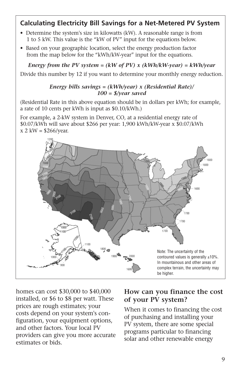# **Calculating Electricity Bill Savings for a Net-Metered PV System**

- Determine the system's size in kilowatts (kW). A reasonable range is from 1 to 5 kW. This value is the "kW of PV" input for the equations below.
- Based on your geographic location, select the energy production factor from the map below for the "kWh/kW-year" input for the equations.

*Energy from the PV system = (kW of PV) x (kWh/kW-year) = kWh/year*

Divide this number by 12 if you want to determine your monthly energy reduction.

#### *Energy bills savings = (kWh/year) x (Residential Rate)/ 100 = \$/year saved*

(Residential Rate in this above equation should be in dollars per kWh; for example, a rate of 10 cents per kWh is input as \$0.10/kWh.)

For example, a 2-kW system in Denver, CO, at a residential energy rate of \$0.07/kWh will save about \$266 per year: 1,900 kWh/kW-year x \$0.07/kWh  $x 2$  kW = \$266/year.



homes can cost \$30,000 to \$40,000 installed, or \$6 to \$8 per watt. These prices are rough estimates; your costs depend on your system's configuration, your equipment options, and other factors. Your local PV providers can give you more accurate estimates or bids.

# **How can you finance the cost of your PV system?**

When it comes to financing the cost of purchasing and installing your PV system, there are some special programs particular to financing solar and other renewable energy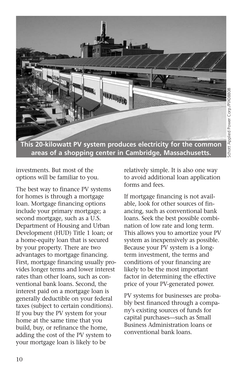

**This 20-kilowatt PV system produces electricity for the common areas of a shopping center in Cambridge, Massachusetts.**

investments. But most of the options will be familiar to you.

The best way to finance PV systems for homes is through a mortgage loan. Mortgage financing options include your primary mortgage; a second mortgage, such as a U.S. Department of Housing and Urban Development (HUD) Title 1 loan; or a home-equity loan that is secured by your property. There are two advantages to mortgage financing. First, mortgage financing usually provides longer terms and lower interest rates than other loans, such as conventional bank loans. Second, the interest paid on a mortgage loan is generally deductible on your federal taxes (subject to certain conditions). If you buy the PV system for your home at the same time that you build, buy, or refinance the home, adding the cost of the PV system to your mortgage loan is likely to be

relatively simple. It is also one way to avoid additional loan application forms and fees.

If mortgage financing is not available, look for other sources of financing, such as conventional bank loans. Seek the best possible combination of low rate and long term. This allows you to amortize your PV system as inexpensively as possible. Because your PV system is a longterm investment, the terms and conditions of your financing are likely to be the most important factor in determining the effective price of your PV-generated power.

PV systems for businesses are probably best financed through a company's existing sources of funds for capital purchases—such as Small Business Administration loans or conventional bank loans.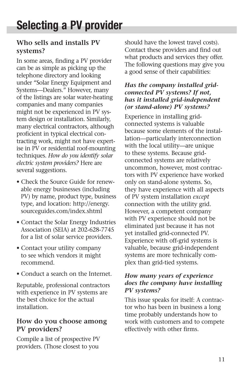# **Who sells and installs PV systems?**

In some areas, finding a PV provider can be as simple as picking up the telephone directory and looking under "Solar Energy Equipment and Systems—Dealers." However, many of the listings are solar water-heating companies and many companies might not be experienced in PV system design or installation. Similarly, many electrical contractors, although proficient in typical electrical contracting work, might not have expertise in PV or residential roof-mounting techniques. *How do you identify solar electric system providers?* Here are several suggestions.

- Check the Source Guide for renewable energy businesses (including PV) by name, product type, business type, and location: http://energy. sourceguides.com/index.shtml
- Contact the Solar Energy Industries Association (SEIA) at 202-628-7745 for a list of solar service providers.
- Contact your utility company to see which vendors it might recommend.
- Conduct a search on the Internet.

Reputable, professional contractors with experience in PV systems are the best choice for the actual installation.

# **How do you choose among PV providers?**

Compile a list of prospective PV providers. (Those closest to you

should have the lowest travel costs). Contact these providers and find out what products and services they offer. The following questions may give you a good sense of their capabilities:

#### *Has the company installed gridconnected PV systems? If not, has it installed grid-independent (or stand-alone) PV systems?*

Experience in installing gridconnected systems is valuable because some elements of the installation—particularly interconnection with the local utility—are unique to these systems. Because gridconnected systems are relatively uncommon, however, most contractors with PV experience have worked only on stand-alone systems. So, they have experience with all aspects of PV system installation *except* connection with the utility grid. However, a competent company with PV experience should not be eliminated just because it has not yet installed grid-connected PV. Experience with off-grid systems is valuable, because grid-independent systems are more technically complex than grid-tied systems.

#### *How many years of experience does the company have installing PV systems?*

This issue speaks for itself: A contractor who has been in business a long time probably understands how to work with customers and to compete effectively with other firms.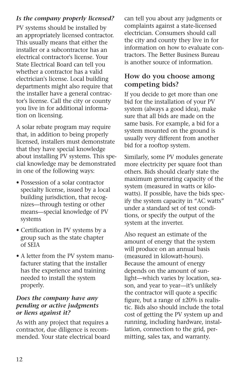# *Is the company properly licensed?*

PV systems should be installed by an appropriately licensed contractor. This usually means that either the installer or a subcontractor has an electrical contractor's license. Your State Electrical Board can tell you whether a contractor has a valid electrician's license. Local building departments might also require that the installer have a general contractor's license. Call the city or county you live in for additional information on licensing.

A solar rebate program may require that, in addition to being properly licensed, installers must demonstrate that they have special knowledge about installing PV systems. This special knowledge may be demonstrated in one of the following ways:

- Possession of a solar contractor specialty license, issued by a local building jurisdiction, that recognizes—through testing or other means—special knowledge of PV systems
- Certification in PV systems by a group such as the state chapter of SEIA
- A letter from the PV system manufacturer stating that the installer has the experience and training needed to install the system properly.

# *Does the company have any pending or active judgments or liens against it?*

As with any project that requires a contractor, due diligence is recommended. Your state electrical board can tell you about any judgments or complaints against a state-licensed electrician. Consumers should call the city and county they live in for information on how to evaluate contractors. The Better Business Bureau is another source of information.

# **How do you choose among competing bids?**

If you decide to get more than one bid for the installation of your PV system (always a good idea), make sure that all bids are made on the same basis. For example, a bid for a system mounted on the ground is usually very different from another bid for a rooftop system.

Similarly, some PV modules generate more electricity per square foot than others. Bids should clearly state the maximum generating capacity of the system (measured in watts or kilowatts). If possible, have the bids specify the system capacity in "AC watts" under a standard set of test conditions, or specify the output of the system at the inverter.

Also request an estimate of the amount of energy that the system will produce on an annual basis (measured in kilowatt-hours). Because the amount of energy depends on the amount of sunlight—which varies by location, season, and year to year—it's unlikely the contractor will quote a specific figure, but a range of  $\pm 20\%$  is realistic. Bids also should include the total cost of getting the PV system up and running, including hardware, installation, connection to the grid, permitting, sales tax, and warranty.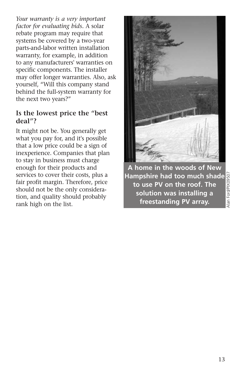*Your warranty is a very important factor for evaluating bids.* A solar rebate program may require that systems be covered by a two-year parts-and-labor written installation warranty, for example, in addition to any manufacturers' warranties on specific components. The installer may offer longer warranties. Also, ask yourself, "Will this company stand behind the full-system warranty for the next two years?"

# **Is the lowest price the "best deal"?**

It might not be. You generally get what you pay for, and it's possible that a low price could be a sign of inexperience. Companies that plan to stay in business must charge enough for their products and services to cover their costs, plus a fair profit margin. Therefore, price should not be the only consideration, and quality should probably rank high on the list.



**A home in the woods of New** Alan Ford/PIX09507**Hampshire had too much shade** Alan Ford/PIX09507 **to use PV on the roof. The solution was installing a freestanding PV array.**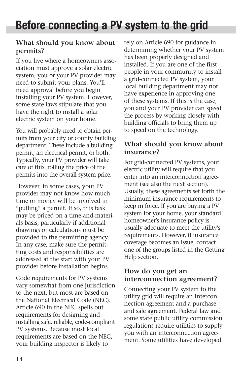# **What should you know about permits?**

If you live where a homeowners association must approve a solar electric system, you or your PV provider may need to submit your plans. You'll need approval before you begin installing your PV system. However, some state laws stipulate that you have the right to install a solar electric system on your home.

You will probably need to obtain permits from your city or county building department. These include a building permit, an electrical permit, or both. Typically, your PV provider will take care of this, rolling the price of the permits into the overall system price.

However, in some cases, your PV provider may not know how much time or money will be involved in "pulling" a permit. If so, this task may be priced on a time-and-materials basis, particularly if additional drawings or calculations must be provided to the permitting agency. In any case, make sure the permitting costs and responsibilities are addressed at the start with your PV provider before installation begins.

Code requirements for PV systems vary somewhat from one jurisdiction to the next, but most are based on the National Electrical Code (NEC). Article 690 in the NEC spells out requirements for designing and installing safe, reliable, code-compliant PV systems. Because most local requirements are based on the NEC, your building inspector is likely to

rely on Article 690 for guidance in determining whether your PV system has been properly designed and installed. If you are one of the first people in your community to install a grid-connected PV system, your local building department may not have experience in approving one of these systems. If this is the case, you and your PV provider can speed the process by working closely with building officials to bring them up to speed on the technology.

# **What should you know about insurance?**

For grid-connected PV systems, your electric utility will require that you enter into an interconnection agreement (see also the next section). Usually, these agreements set forth the minimum insurance requirements to keep in force. If you are buying a PV system for your home, your standard homeowner's insurance policy is usually adequate to meet the utility's requirements. However, if insurance coverage becomes an issue, contact one of the groups listed in the Getting Help section.

# **How do you get an interconnection agreement?**

Connecting your PV system to the utility grid will require an interconnection agreement and a purchase and sale agreement. Federal law and some state public utility commission regulations require utilities to supply you with an interconnection agreement. Some utilities have developed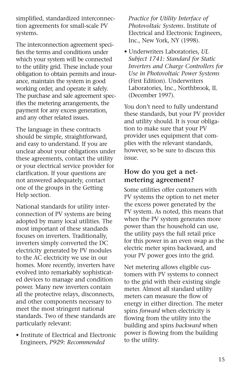simplified, standardized interconnection agreements for small-scale PV systems.

The interconnection agreement specifies the terms and conditions under which your system will be connected to the utility grid. These include your obligation to obtain permits and insurance, maintain the system in good working order, and operate it safely. The purchase and sale agreement specifies the metering arrangements, the payment for any excess generation, and any other related issues.

The language in these contracts should be simple, straightforward, and easy to understand. If you are unclear about your obligations under these agreements, contact the utility or your electrical service provider for clarification. If your questions are not answered adequately, contact one of the groups in the Getting Help section.

National standards for utility interconnection of PV systems are being adopted by many local utilities. The most important of these standards focuses on inverters. Traditionally, inverters simply converted the DC electricity generated by PV modules to the AC electricity we use in our homes. More recently, inverters have evolved into remarkably sophisticated devices to manage and condition power. Many new inverters contain all the protective relays, disconnects, and other components necessary to meet the most stringent national standards. Two of these standards are particularly relevant:

• Institute of Electrical and Electronic Engineers, *P929: Recommended*

*Practice for Utility Interface of Photovoltaic Systems*. Institute of Electrical and Electronic Engineers, Inc., New York, NY (1998).

• Underwriters Laboratories, *UL Subject 1741: Standard for Static Inverters and Charge Controllers for Use in Photovoltaic Power Systems* (First Edition). Underwriters Laboratories, Inc., Northbrook, IL (December 1997).

You don't need to fully understand these standards, but your PV provider and utility should. It is your obligation to make sure that your PV provider uses equipment that complies with the relevant standards, however, so be sure to discuss this issue.

# **How do you get a netmetering agreement?**

Some utilities offer customers with PV systems the option to net meter the excess power generated by the PV system. As noted, this means that when the PV system generates more power than the household can use, the utility pays the full retail price for this power in an even swap as the electric meter spins backward, and your PV power goes into the grid.

Net metering allows eligible customers with PV systems to connect to the grid with their existing single meter. Almost all standard utility meters can measure the flow of energy in either direction. The meter spins *forward* when electricity is flowing from the utility into the building and spins *backward* when power is flowing from the building to the utility.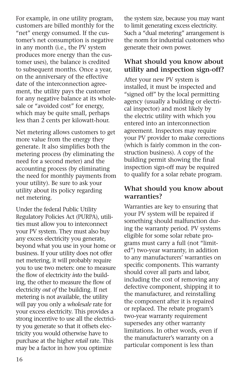For example, in one utility program, customers are billed monthly for the "net" energy consumed. If the customer's net consumption is negative in any month (i.e., the PV system produces more energy than the customer uses), the balance is credited to subsequent months. Once a year, on the anniversary of the effective date of the interconnection agreement, the utility pays the customer for any negative balance at its wholesale or "avoided cost" for energy, which may be quite small, perhaps less than 2 cents per kilowatt-hour.

Net metering allows customers to get more value from the energy they generate. It also simplifies both the metering process (by eliminating the need for a second meter) and the accounting process (by eliminating the need for monthly payments from your utility). Be sure to ask your utility about its policy regarding net metering.

Under the federal Public Utility Regulatory Policies Act (PURPA), utilities must allow you to interconnect your PV system. They must also buy any excess electricity you generate, beyond what you use in your home or business. If your utility does not offer net metering, it will probably require you to use two meters: one to measure the flow of electricity *into* the building, the other to measure the flow of electricity *out of* the building. If net metering is not available, the utility will pay you only a *wholesale* rate for your excess electricity. This provides a strong incentive to use all the electricity you generate so that it offsets electricity you would otherwise have to purchase at the higher *retail* rate. This may be a factor in how you optimize

the system size, because you may want to limit generating excess electricity. Such a "dual metering" arrangement is the norm for industrial customers who generate their own power.

# **What should you know about utility and inspection sign-off?**

After your new PV system is installed, it must be inspected and "signed off" by the local permitting agency (usually a building or electrical inspector) and most likely by the electric utility with which you entered into an interconnection agreement. Inspectors may require your PV provider to make corrections (which is fairly common in the construction business). A copy of the building permit showing the final inspection sign-off may be required to qualify for a solar rebate program.

# **What should you know about warranties?**

Warranties are key to ensuring that your PV system will be repaired if something should malfunction during the warranty period. PV systems eligible for some solar rebate programs must carry a full (not "limited") two-year warranty, in addition to any manufacturers' warranties on specific components. This warranty should cover all parts and labor, including the cost of removing any defective component, shipping it to the manufacturer, and reinstalling the component after it is repaired or replaced. The rebate program's two-year warranty requirement supersedes any other warranty limitations. In other words, even if the manufacturer's warranty on a particular component is less than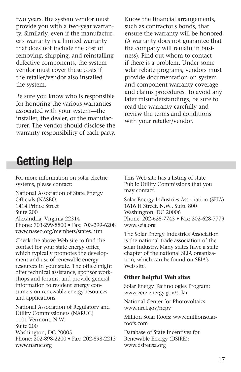two years, the system vendor must provide you with a two-year warranty. Similarly, even if the manufacturer's warranty is a limited warranty that does not include the cost of removing, shipping, and reinstalling defective components, the system vendor must cover these costs if the retailer/vendor also installed the system.

Be sure you know who is responsible for honoring the various warranties associated with your system—the installer, the dealer, or the manufacturer. The vendor should disclose the warranty responsibility of each party. Know the financial arrangements, such as contractor's bonds, that ensure the warranty will be honored. (A warranty does not guarantee that the company will remain in business). Find out whom to contact if there is a problem. Under some solar rebate programs, vendors must provide documentation on system and component warranty coverage and claims procedures. To avoid any later misunderstandings, be sure to read the warranty carefully and review the terms and conditions with your retailer/vendor.

# **Getting Help**

For more information on solar electric systems, please contact:

National Association of State Energy Officials (NASEO) 1414 Prince Street Suite 200 Alexandria, Virginia 22314 Phone: 703-299-8800 • Fax: 703-299-6208 www.naseo.org/members/states.htm

Check the above Web site to find the contact for your state energy office, which typically promotes the development and use of renewable energy resources in your state. The office might offer technical assistance, sponsor workshops and forums, and provide general information to resident energy consumers on renewable energy resources and applications.

National Association of Regulatory and Utility Commissioners (NARUC) 1101 Vermont, N.W. Suite 200 Washington, DC 20005 Phone: 202-898-2200 • Fax: 202-898-2213 www.naruc.org

This Web site has a listing of state Public Utility Commissions that you may contact.

Solar Energy Industries Association (SEIA) 1616 H Street, N.W., Suite 800 Washington, DC 20006 Phone: 202-628-7745 • Fax: 202-628-7779 www.seia.org

The Solar Energy Industries Association is the national trade association of the solar industry. Many states have a state chapter of the national SEIA organization, which can be found on SEIA's Web site.

#### **Other helpful Web sites**

Solar Energy Technologies Program: www.eere.energy.gov/solar

National Center for Photovoltaics: www.nrel.gov/ncpv

Million Solar Roofs: www.millionsolarroofs.com

Database of State Incentives for Renewable Energy (DSIRE): www.dsireusa.org